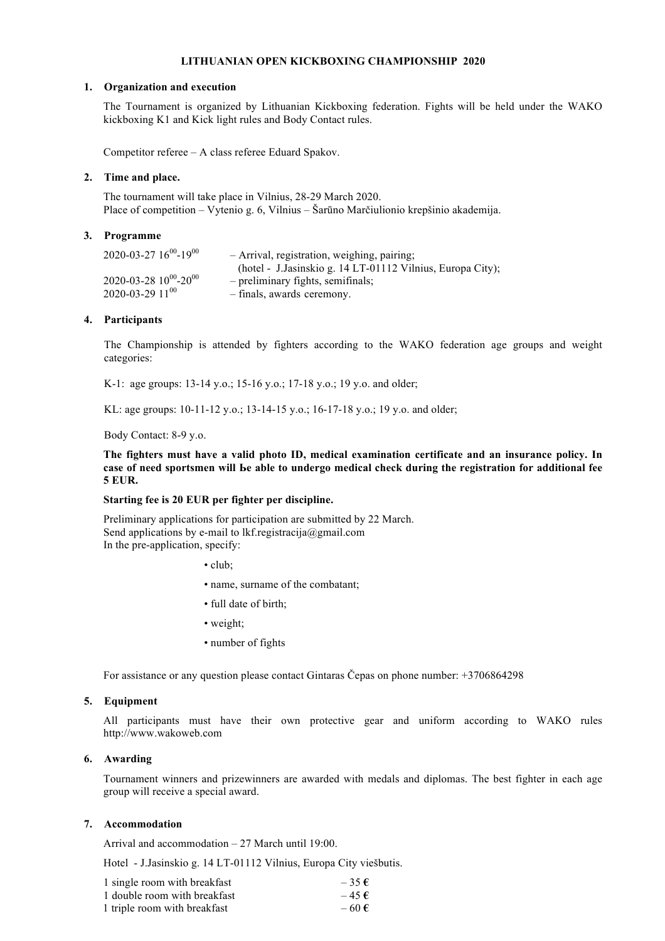# **LITHUANIAN OPEN KICKBOXING CHAMPIONSHIP 2020**

### **1. Organization and execution**

The Tournament is organized by Lithuanian Kickboxing federation. Fights will be held under the WAKO kickboxing K1 and Kick light rules and Body Contact rules.

Competitor referee – A class referee Eduard Spakov.

### **2. Time and place.**

The tournament will take place in Vilnius, 28-29 March 2020. Place of competition – Vytenio g. 6, Vilnius – Šarūno Marčiulionio krepšinio akademija.

### **3. Programme**

| $2020 - 03 - 27$ $16^{00} - 19^{00}$ | - Arrival, registration, weighing, pairing;                |
|--------------------------------------|------------------------------------------------------------|
|                                      | (hotel - J.Jasinskio g. 14 LT-01112 Vilnius, Europa City); |
| $2020 - 03 - 28$ $10^{00} - 20^{00}$ | - preliminary fights, semifinals;                          |
| $2020 - 03 - 2911^{00}$              | - finals, awards ceremony.                                 |

### **4. Participants**

The Championship is attended by fighters according to the WAKO federation age groups and weight categories:

K-1: age groups: 13-14 y.o.; 15-16 y.o.; 17-18 y.o.; 19 y.o. and older;

KL: age groups: 10-11-12 y.o.; 13-14-15 y.o.; 16-17-18 y.o.; 19 y.o. and older;

## Body Contact: 8-9 y.o.

**The fighters must have a valid photo ID, medical examination certificate and an insurance policy. In case of need sportsmen will Ье able to undergo medical check during the registration for additional fee 5 EUR.**

# **Starting fee is 20 EUR рer fightеr реr discipline.**

Preliminary applications for participation are submitted by 22 March. Send applications by e-mail to lkf.registracija@gmail.com In the pre-application, specify:

• club;

- name, surname of the combatant;
- full date of birth;
- weight;
- number of fights

For assistance or any question please contact Gintaras Čepas on phone number: +3706864298

### **5. Equipment**

All participants must have their own protective gear and uniform according to WAKO rules http://www.wаkоwеb.соm

## **6. Awarding**

Tournament winners and prizewinners are awarded with medals and diplomas. The best fighter in each age group will receive a special award.

### **7. Accommodation**

Arrival and accommodation – 27 March until 19:00.

Hotel - J.Jasinskio g. 14 LT-01112 Vilnius, Europa City viešbutis.

| 1 single room with breakfast | $-35E$    |
|------------------------------|-----------|
| 1 double room with breakfast | $-45 \in$ |
| 1 triple room with breakfast | $-60E$    |